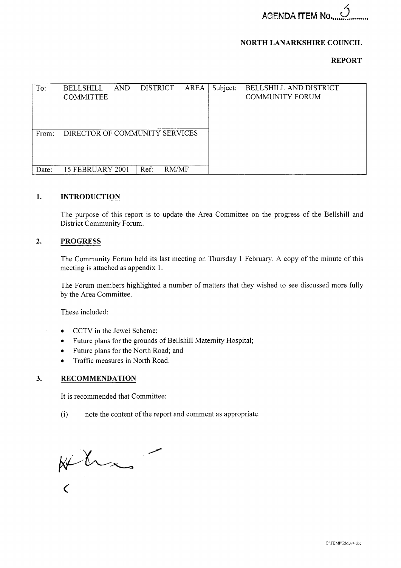# **NORTH LANARKSHIRE COUNCIL**

# **REPORT**

|       |                                                                                      |          | <b>NORTH LANARKSHIRE COUNCIL</b>                 |
|-------|--------------------------------------------------------------------------------------|----------|--------------------------------------------------|
|       |                                                                                      |          | <b>REPORT</b>                                    |
|       |                                                                                      |          |                                                  |
| To:   | <b>DISTRICT</b><br><b>AREA</b><br><b>BELLSHILL</b><br><b>AND</b><br><b>COMMITTEE</b> | Subject: | BELLSHILL AND DISTRICT<br><b>COMMUNITY FORUM</b> |
| From: | DIRECTOR OF COMMUNITY SERVICES                                                       |          |                                                  |
| Date: | 15 FEBRUARY 2001<br>RM/MF<br>Ref.                                                    |          |                                                  |
| 1.    | <b>INTRODUCTION</b>                                                                  |          |                                                  |

## **1. INTRODUCTION**

The purpose of this report is to update the Area Committee on the progress of the Bellshill and District Community Forum.

## **2. PROGRESS**

The Community Forum held its last meeting on Thursday 1 February. A copy of the minute of this meeting is attached as appendix 1.

The Forum members highlighted a number of matters that they wished to see discussed more fully by the Area Committee.

These included:

- *0*  CCTV in the Jewel Scheme;
- *0*  Future plans for the grounds of Bellshill Maternity Hospital;
- *0*  Future plans for the North Road; and
- *0*  Traffic measures in North Road.

# **3. RECOMMENDATION**

It is recommended that Committee:

(i) note the content of the report and comment as appropriate.

 $\frac{1}{2}$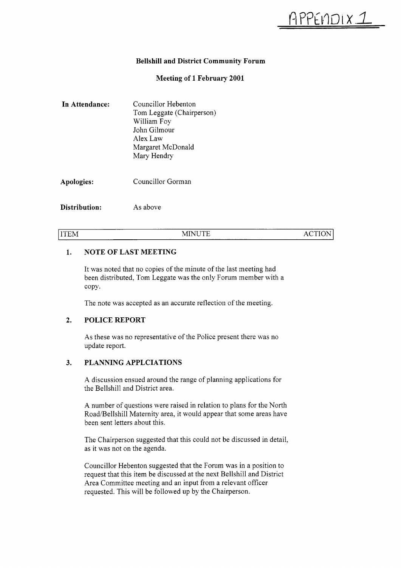# **Bellshill and District Community Forum**

# **Meeting of 1 February 2001**

| In Attendance: | Councillor Hebenton<br>Tom Leggate (Chairperson)<br>William Foy<br>John Gilmour<br>Alex Law<br>Margaret McDonald<br>Mary Hendry |
|----------------|---------------------------------------------------------------------------------------------------------------------------------|
| Apologies:     | Councillor Gorman                                                                                                               |
| Distribution:  | As above                                                                                                                        |

|ITEM ACTION|

#### **1. NOTE OF LAST MEETING**

It was noted that no copies of the minute of the last meeting had been distributed, Tom Leggate was the only Forum member with a copy.

The note was accepted as an accurate reflection of the meeting.

#### **2. POLICE REPORT**

As these was no representative of the Police present there was no update report.

#### **3. PLANNING APPLCIATIONS**

A discussion ensued around the range of planning applications for the Bellshill and District area.

A number of questions were raised in relation to plans for the North Road/Bellshill Maternity area, it would appear that some areas have been sent letters about this.

The Chairperson suggested that this could not be discussed in detail, as it was not on the agenda.

Councillor Hebenton suggested that the Forum was in a position to request that this item be discussed at the next Bellshill and District Area Committee meeting and an input from a relevant officer requested. This will be followed up by the Chairperson.